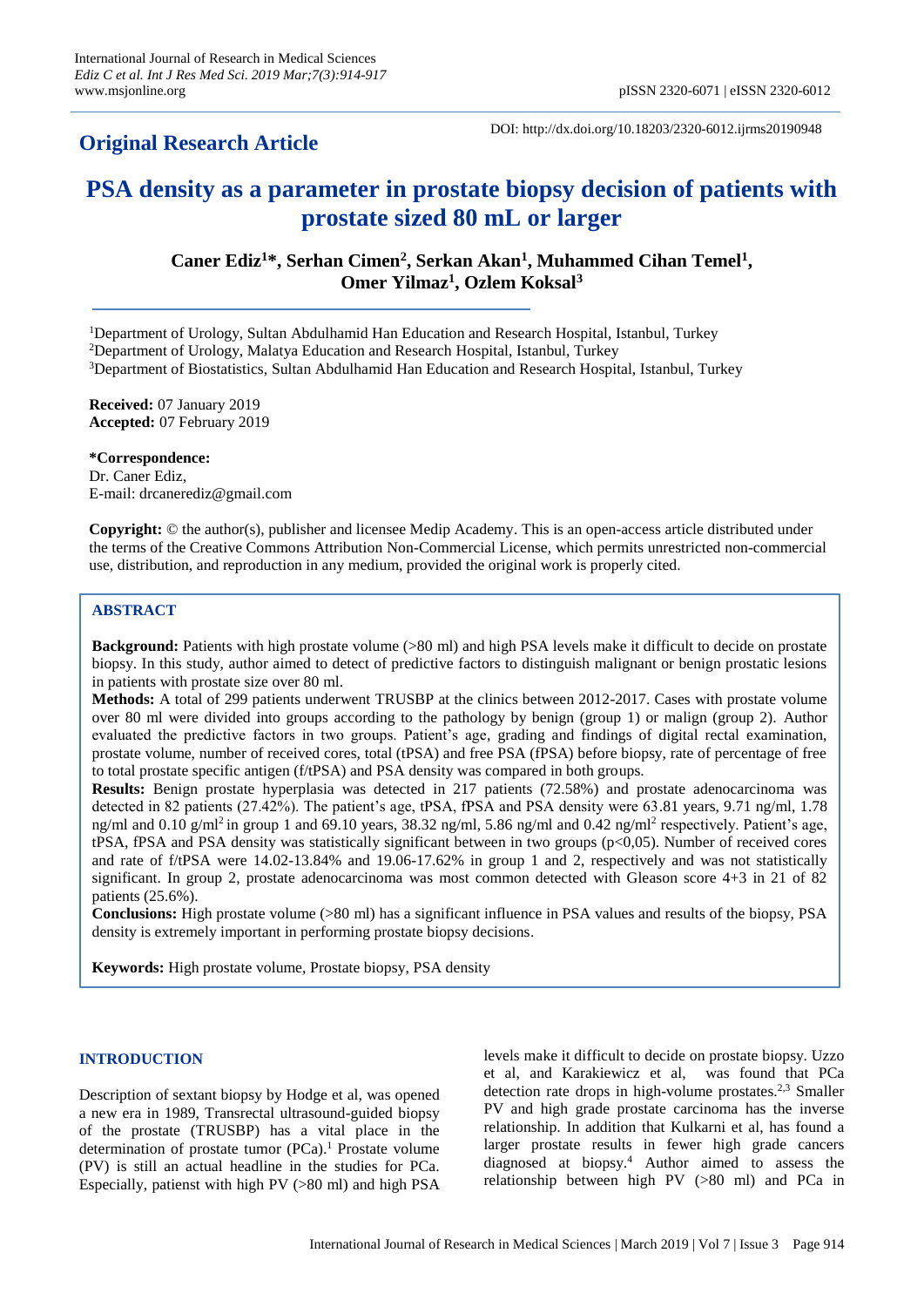## **Original Research Article**

DOI: http://dx.doi.org/10.18203/2320-6012.ijrms20190948

# **PSA density as a parameter in prostate biopsy decision of patients with prostate sized 80 mL or larger**

**Caner Ediz<sup>1</sup>\*, Serhan Cimen<sup>2</sup> , Serkan Akan<sup>1</sup> , Muhammed Cihan Temel<sup>1</sup> , Omer Yilmaz<sup>1</sup> , Ozlem Koksal<sup>3</sup>**

<sup>1</sup>Department of Urology, Sultan Abdulhamid Han Education and Research Hospital, Istanbul, Turkey <sup>2</sup>Department of Urology, Malatya Education and Research Hospital, Istanbul, Turkey <sup>3</sup>Department of Biostatistics, Sultan Abdulhamid Han Education and Research Hospital, Istanbul, Turkey

**Received:** 07 January 2019 **Accepted:** 07 February 2019

**\*Correspondence:** Dr. Caner Ediz, E-mail: drcanerediz@gmail.com

**Copyright:** © the author(s), publisher and licensee Medip Academy. This is an open-access article distributed under the terms of the Creative Commons Attribution Non-Commercial License, which permits unrestricted non-commercial use, distribution, and reproduction in any medium, provided the original work is properly cited.

## **ABSTRACT**

**Background:** Patients with high prostate volume (>80 ml) and high PSA levels make it difficult to decide on prostate biopsy. In this study, author aimed to detect of predictive factors to distinguish malignant or benign prostatic lesions in patients with prostate size over 80 ml.

**Methods:** A total of 299 patients underwent TRUSBP at the clinics between 2012-2017. Cases with prostate volume over 80 ml were divided into groups according to the pathology by benign (group 1) or malign (group 2). Author evaluated the predictive factors in two groups. Patient's age, grading and findings of digital rectal examination, prostate volume, number of received cores, total (tPSA) and free PSA (fPSA) before biopsy, rate of percentage of free to total prostate specific antigen (f/tPSA) and PSA density was compared in both groups.

**Results:** Benign prostate hyperplasia was detected in 217 patients (72.58%) and prostate adenocarcinoma was detected in 82 patients (27.42%). The patient's age, tPSA, fPSA and PSA density were 63.81 years, 9.71 ng/ml, 1.78 ng/ml and  $0.10$  g/ml<sup>2</sup> in group 1 and 69.10 years, 38.32 ng/ml, 5.86 ng/ml and  $0.42$  ng/ml<sup>2</sup> respectively. Patient's age, tPSA, fPSA and PSA density was statistically significant between in two groups (p<0,05). Number of received cores and rate of f/tPSA were 14.02-13.84% and 19.06-17.62% in group 1 and 2, respectively and was not statistically significant. In group 2, prostate adenocarcinoma was most common detected with Gleason score 4+3 in 21 of 82 patients (25.6%).

**Conclusions:** High prostate volume (>80 ml) has a significant influence in PSA values and results of the biopsy, PSA density is extremely important in performing prostate biopsy decisions.

**Keywords:** High prostate volume, Prostate biopsy, PSA density

## **INTRODUCTION**

Description of sextant biopsy by Hodge et al, was opened a new era in 1989, Transrectal ultrasound-guided biopsy of the prostate (TRUSBP) has a vital place in the determination of prostate tumor (PCa). <sup>1</sup> Prostate volume (PV) is still an actual headline in the studies for PCa. Especially, patienst with high PV (>80 ml) and high PSA levels make it difficult to decide on prostate biopsy. Uzzo et al, and Karakiewicz et al, was found that PCa detection rate drops in high-volume prostates.<sup>2,3</sup> Smaller PV and high grade prostate carcinoma has the inverse relationship. In addition that Kulkarni et al, has found a larger prostate results in fewer high grade cancers diagnosed at biopsy.<sup>4</sup> Author aimed to assess the relationship between high PV (>80 ml) and PCa in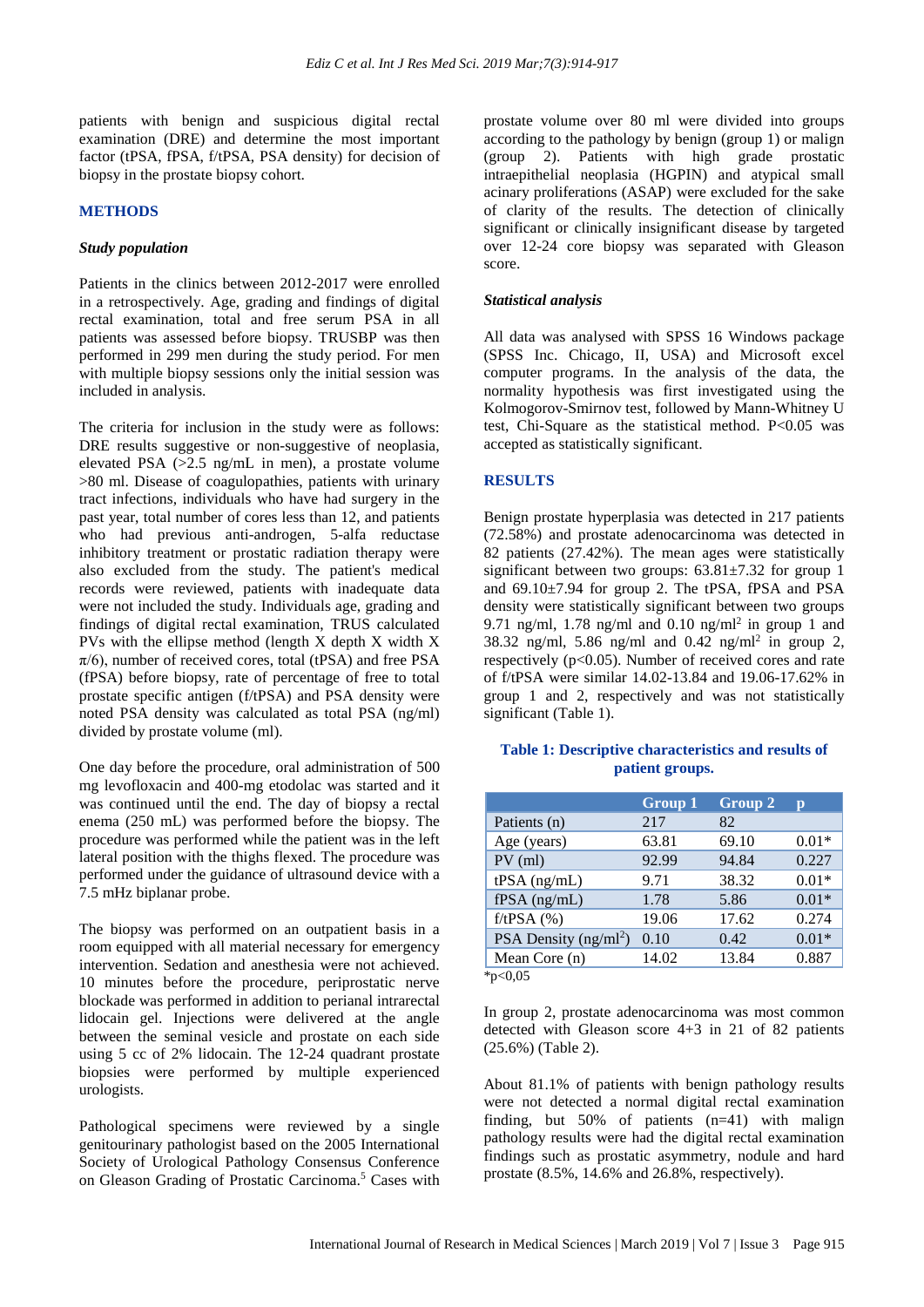patients with benign and suspicious digital rectal examination (DRE) and determine the most important factor (tPSA, fPSA, f/tPSA, PSA density) for decision of biopsy in the prostate biopsy cohort.

#### **METHODS**

#### *Study population*

Patients in the clinics between 2012-2017 were enrolled in a retrospectively. Age, grading and findings of digital rectal examination, total and free serum PSA in all patients was assessed before biopsy. TRUSBP was then performed in 299 men during the study period. For men with multiple biopsy sessions only the initial session was included in analysis.

The criteria for inclusion in the study were as follows: DRE results suggestive or non-suggestive of neoplasia, elevated PSA (>2.5 ng/mL in men), a prostate volume >80 ml. Disease of coagulopathies, patients with urinary tract infections, individuals who have had surgery in the past year, total number of cores less than 12, and patients who had previous anti-androgen, 5-alfa reductase inhibitory treatment or prostatic radiation therapy were also excluded from the study. The patient's medical records were reviewed, patients with inadequate data were not included the study. Individuals age, grading and findings of digital rectal examination, TRUS calculated PVs with the ellipse method (length X depth X width X  $\pi/6$ ), number of received cores, total (tPSA) and free PSA (fPSA) before biopsy, rate of percentage of free to total prostate specific antigen (f/tPSA) and PSA density were noted PSA density was calculated as total PSA (ng/ml) divided by prostate volume (ml).

One day before the procedure, oral administration of 500 mg levofloxacin and 400-mg etodolac was started and it was continued until the end. The day of biopsy a rectal enema (250 mL) was performed before the biopsy. The procedure was performed while the patient was in the left lateral position with the thighs flexed. The procedure was performed under the guidance of ultrasound device with a 7.5 mHz biplanar probe.

The biopsy was performed on an outpatient basis in a room equipped with all material necessary for emergency intervention. Sedation and anesthesia were not achieved. 10 minutes before the procedure, periprostatic nerve blockade was performed in addition to perianal intrarectal lidocain gel. Injections were delivered at the angle between the seminal vesicle and prostate on each side using 5 cc of 2% lidocain. The 12-24 quadrant prostate biopsies were performed by multiple experienced urologists.

Pathological specimens were reviewed by a single genitourinary pathologist based on the 2005 International Society of Urological Pathology Consensus Conference on Gleason Grading of Prostatic Carcinoma.<sup>5</sup> Cases with prostate volume over 80 ml were divided into groups according to the pathology by benign (group 1) or malign (group 2). Patients with high grade prostatic intraepithelial neoplasia (HGPIN) and atypical small acinary proliferations (ASAP) were excluded for the sake of clarity of the results. The detection of clinically significant or clinically insignificant disease by targeted over 12-24 core biopsy was separated with Gleason score.

#### *Statistical analysis*

All data was analysed with SPSS 16 Windows package (SPSS Inc. Chicago, II, USA) and Microsoft excel computer programs. In the analysis of the data, the normality hypothesis was first investigated using the Kolmogorov-Smirnov test, followed by Mann-Whitney U test, Chi-Square as the statistical method. P<0.05 was accepted as statistically significant.

#### **RESULTS**

Benign prostate hyperplasia was detected in 217 patients (72.58%) and prostate adenocarcinoma was detected in 82 patients (27.42%). The mean ages were statistically significant between two groups:  $63.81 \pm 7.32$  for group 1 and 69.10±7.94 for group 2. The tPSA, fPSA and PSA density were statistically significant between two groups 9.71 ng/ml, 1.78 ng/ml and 0.10 ng/ml<sup>2</sup> in group 1 and 38.32 ng/ml, 5.86 ng/ml and 0.42 ng/ml<sup>2</sup> in group 2, respectively (p<0.05). Number of received cores and rate of f/tPSA were similar 14.02-13.84 and 19.06-17.62% in group 1 and 2, respectively and was not statistically significant (Table 1).

## **Table 1: Descriptive characteristics and results of patient groups.**

|                        | <b>Group 1</b> | Group 2 | $\mathbf{p}$ |
|------------------------|----------------|---------|--------------|
| Patients (n)           | 217            | 82      |              |
| Age (years)            | 63.81          | 69.10   | $0.01*$      |
| $PV$ (ml)              | 92.99          | 94.84   | 0.227        |
| tPSA (ng/mL)           | 9.71           | 38.32   | $0.01*$      |
| $fPSA$ (ng/mL)         | 1.78           | 5.86    | $0.01*$      |
| $f$ /tPSA $(%)$        | 19.06          | 17.62   | 0.274        |
| PSA Density $(ng/ml2)$ | 0.10           | 0.42    | $0.01*$      |
| Mean Core (n)          | 14.02          | 13.84   | 0.887        |
| *p<0,05                |                |         |              |

In group 2, prostate adenocarcinoma was most common detected with Gleason score 4+3 in 21 of 82 patients (25.6%) (Table 2).

About 81.1% of patients with benign pathology results were not detected a normal digital rectal examination finding, but 50% of patients (n=41) with malign pathology results were had the digital rectal examination findings such as prostatic asymmetry, nodule and hard prostate (8.5%, 14.6% and 26.8%, respectively).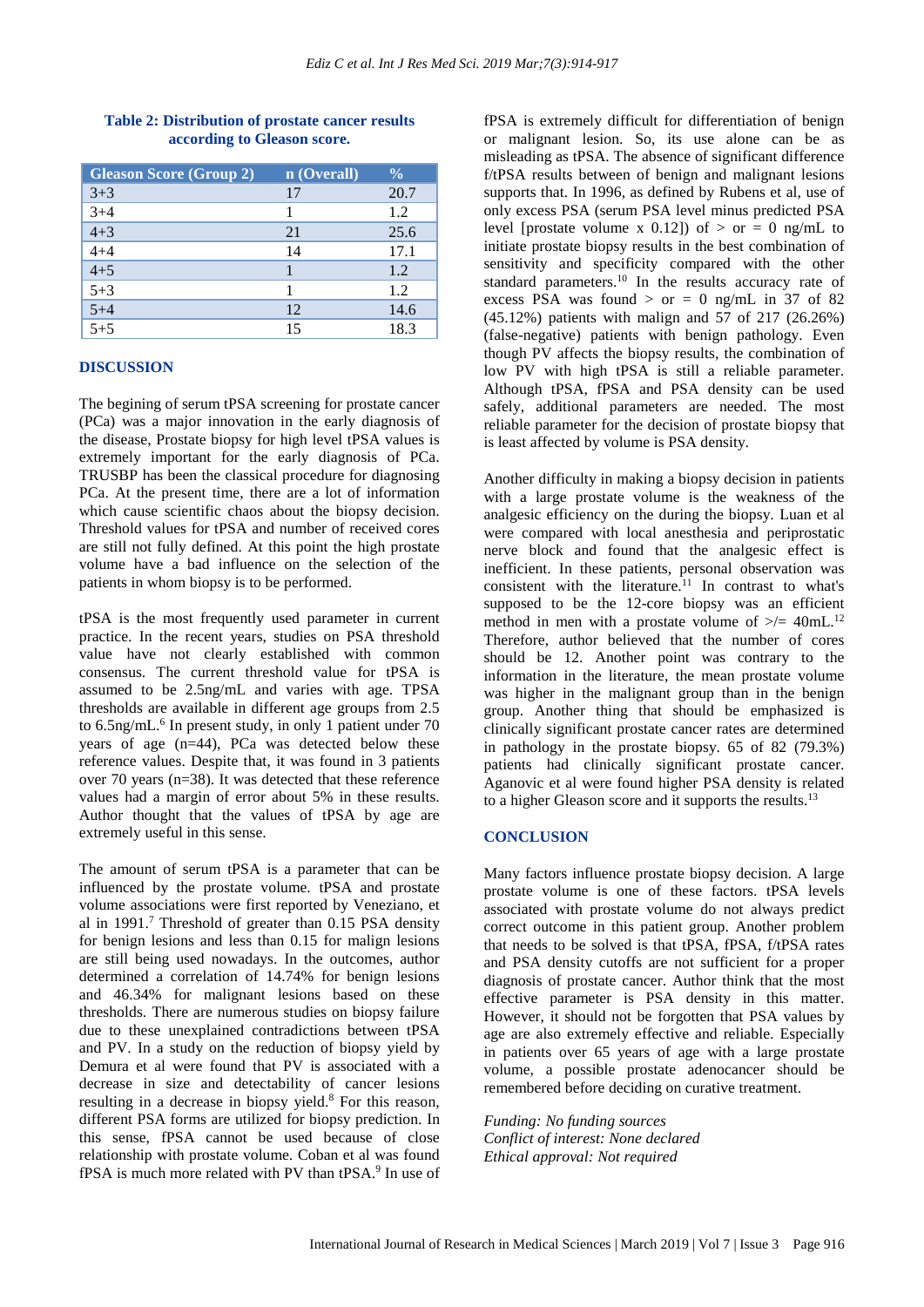| <b>Gleason Score (Group 2)</b> | n (Overall) | $\frac{0}{0}$ |
|--------------------------------|-------------|---------------|
| $3 + 3$                        | 17          | 20.7          |
| $3 + 4$                        |             | 1.2           |
| $4 + 3$                        | 21          | 25.6          |
| $4 + 4$                        | 14          | 17.1          |
| $4 + 5$                        |             | 1.2           |
| $5 + 3$                        |             | 1.2           |
| $5 + 4$                        | 12          | 14.6          |
| $\frac{1}{5+5}$                | 15          | 18.3          |

## **Table 2: Distribution of prostate cancer results according to Gleason score.**

## **DISCUSSION**

The begining of serum tPSA screening for prostate cancer (PCa) was a major innovation in the early diagnosis of the disease, Prostate biopsy for high level tPSA values is extremely important for the early diagnosis of PCa. TRUSBP has been the classical procedure for diagnosing PCa. At the present time, there are a lot of information which cause scientific chaos about the biopsy decision. Threshold values for tPSA and number of received cores are still not fully defined. At this point the high prostate volume have a bad influence on the selection of the patients in whom biopsy is to be performed.

tPSA is the most frequently used parameter in current practice. In the recent years, studies on PSA threshold value have not clearly established with common consensus. The current threshold value for tPSA is assumed to be 2.5ng/mL and varies with age. TPSA thresholds are available in different age groups from 2.5 to 6.5ng/mL.<sup>6</sup> In present study, in only 1 patient under 70 years of age (n=44), PCa was detected below these reference values. Despite that, it was found in 3 patients over 70 years (n=38). It was detected that these reference values had a margin of error about 5% in these results. Author thought that the values of tPSA by age are extremely useful in this sense.

The amount of serum tPSA is a parameter that can be influenced by the prostate volume. tPSA and prostate volume associations were first reported by Veneziano, et al in 1991.<sup>7</sup> Threshold of greater than  $0.15$  PSA density for benign lesions and less than 0.15 for malign lesions are still being used nowadays. In the outcomes, author determined a correlation of 14.74% for benign lesions and 46.34% for malignant lesions based on these thresholds. There are numerous studies on biopsy failure due to these unexplained contradictions between tPSA and PV. In a study on the reduction of biopsy yield by Demura et al were found that PV is associated with a decrease in size and detectability of cancer lesions resulting in a decrease in biopsy yield.<sup>8</sup> For this reason, different PSA forms are utilized for biopsy prediction. In this sense, fPSA cannot be used because of close relationship with prostate volume. Coban et al was found fPSA is much more related with PV than tPSA.<sup>9</sup> In use of

fPSA is extremely difficult for differentiation of benign or malignant lesion. So, its use alone can be as misleading as tPSA. The absence of significant difference f/tPSA results between of benign and malignant lesions supports that. In 1996, as defined by Rubens et al, use of only excess PSA (serum PSA level minus predicted PSA level [prostate volume x 0.12]) of  $>$  or  $= 0$  ng/mL to initiate prostate biopsy results in the best combination of sensitivity and specificity compared with the other standard parameters.<sup>10</sup> In the results accuracy rate of excess PSA was found  $>$  or  $=$  0 ng/mL in 37 of 82 (45.12%) patients with malign and 57 of 217 (26.26%) (false-negative) patients with benign pathology. Even though PV affects the biopsy results, the combination of low PV with high tPSA is still a reliable parameter. Although tPSA, fPSA and PSA density can be used safely, additional parameters are needed. The most reliable parameter for the decision of prostate biopsy that is least affected by volume is PSA density.

Another difficulty in making a biopsy decision in patients with a large prostate volume is the weakness of the analgesic efficiency on the during the biopsy. Luan et al were compared with local anesthesia and periprostatic nerve block and found that the analgesic effect is inefficient. In these patients, personal observation was consistent with the literature.<sup>11</sup> In contrast to what's supposed to be the 12-core biopsy was an efficient method in men with a prostate volume of  $\geq$  = 40mL.<sup>12</sup> Therefore, author believed that the number of cores should be 12. Another point was contrary to the information in the literature, the mean prostate volume was higher in the malignant group than in the benign group. Another thing that should be emphasized is clinically significant prostate cancer rates are determined in pathology in the prostate biopsy. 65 of 82 (79.3%) patients had clinically significant prostate cancer. Aganovic et al were found higher PSA density is related to a higher Gleason score and it supports the results.<sup>13</sup>

#### **CONCLUSION**

Many factors influence prostate biopsy decision. A large prostate volume is one of these factors. tPSA levels associated with prostate volume do not always predict correct outcome in this patient group. Another problem that needs to be solved is that tPSA, fPSA, f/tPSA rates and PSA density cutoffs are not sufficient for a proper diagnosis of prostate cancer. Author think that the most effective parameter is PSA density in this matter. However, it should not be forgotten that PSA values by age are also extremely effective and reliable. Especially in patients over 65 years of age with a large prostate volume, a possible prostate adenocancer should be remembered before deciding on curative treatment.

*Funding: No funding sources Conflict of interest: None declared Ethical approval: Not required*